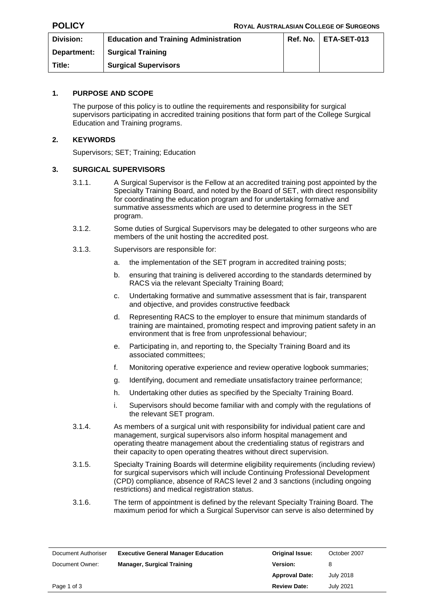| Division:   | <b>Education and Training Administration</b> | $Ref. No.$   $ETA-SET-013$ |
|-------------|----------------------------------------------|----------------------------|
| Department: | <b>Surgical Training</b>                     |                            |
| Title:      | <b>Surgical Supervisors</b>                  |                            |

## **1. PURPOSE AND SCOPE**

The purpose of this policy is to outline the requirements and responsibility for surgical supervisors participating in accredited training positions that form part of the College Surgical Education and Training programs.

#### **2. KEYWORDS**

Supervisors; SET; Training; Education

## **3. SURGICAL SUPERVISORS**

- 3.1.1. A Surgical Supervisor is the Fellow at an accredited training post appointed by the Specialty Training Board, and noted by the Board of SET, with direct responsibility for coordinating the education program and for undertaking formative and summative assessments which are used to determine progress in the SET program.
- 3.1.2. Some duties of Surgical Supervisors may be delegated to other surgeons who are members of the unit hosting the accredited post.
- 3.1.3. Supervisors are responsible for:
	- a. the implementation of the SET program in accredited training posts;
	- b. ensuring that training is delivered according to the standards determined by RACS via the relevant Specialty Training Board;
	- c. Undertaking formative and summative assessment that is fair, transparent and objective, and provides constructive feedback
	- d. Representing RACS to the employer to ensure that minimum standards of training are maintained, promoting respect and improving patient safety in an environment that is free from unprofessional behaviour;
	- e. Participating in, and reporting to, the Specialty Training Board and its associated committees;
	- f. Monitoring operative experience and review operative logbook summaries;
	- g. Identifying, document and remediate unsatisfactory trainee performance;
	- h. Undertaking other duties as specified by the Specialty Training Board.
	- i. Supervisors should become familiar with and comply with the regulations of the relevant SET program.
- 3.1.4. As members of a surgical unit with responsibility for individual patient care and management, surgical supervisors also inform hospital management and operating theatre management about the credentialing status of registrars and their capacity to open operating theatres without direct supervision.
- 3.1.5. Specialty Training Boards will determine eligibility requirements (including review) for surgical supervisors which will include Continuing Professional Development (CPD) compliance, absence of RACS level 2 and 3 sanctions (including ongoing restrictions) and medical registration status.
- 3.1.6. The term of appointment is defined by the relevant Specialty Training Board. The maximum period for which a Surgical Supervisor can serve is also determined by

| Document Authoriser | <b>Executive General Manager Education</b> | <b>Original Issue:</b> | October 2007     |
|---------------------|--------------------------------------------|------------------------|------------------|
| Document Owner:     | <b>Manager, Surgical Training</b>          | <b>Version:</b>        | 8                |
|                     |                                            | <b>Approval Date:</b>  | July 2018        |
| Page 1 of 3         |                                            | <b>Review Date:</b>    | <b>July 2021</b> |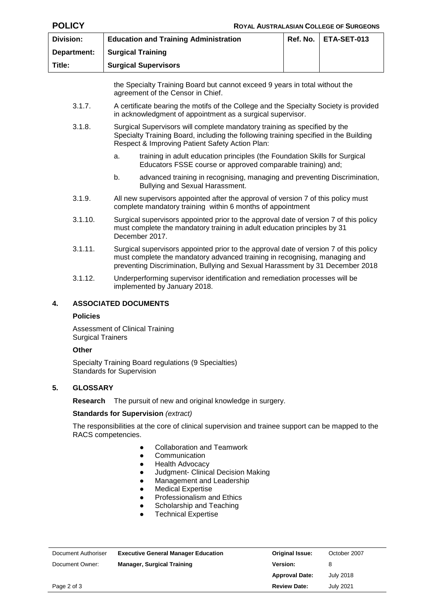| <b>POLICY</b>    | <b>ROYAL AUSTRALASIAN COLLEGE OF SURGEONS</b>                                                                                                                                                                                                        |                                                                                                                                                     |  |  |  |  |  |  |
|------------------|------------------------------------------------------------------------------------------------------------------------------------------------------------------------------------------------------------------------------------------------------|-----------------------------------------------------------------------------------------------------------------------------------------------------|--|--|--|--|--|--|
| <b>Division:</b> | <b>Education and Training Administration</b><br>Ref. No.<br>ETA-SET-013                                                                                                                                                                              |                                                                                                                                                     |  |  |  |  |  |  |
| Department:      |                                                                                                                                                                                                                                                      | <b>Surgical Training</b>                                                                                                                            |  |  |  |  |  |  |
| Title:           |                                                                                                                                                                                                                                                      | <b>Surgical Supervisors</b>                                                                                                                         |  |  |  |  |  |  |
|                  | the Specialty Training Board but cannot exceed 9 years in total without the<br>agreement of the Censor in Chief.                                                                                                                                     |                                                                                                                                                     |  |  |  |  |  |  |
| 3.1.7.           |                                                                                                                                                                                                                                                      | A certificate bearing the motifs of the College and the Specialty Society is provided<br>in acknowledgment of appointment as a surgical supervisor. |  |  |  |  |  |  |
| 3.1.8.           | Surgical Supervisors will complete mandatory training as specified by the<br>Specialty Training Board, including the following training specified in the Building<br>Respect & Improving Patient Safety Action Plan:                                 |                                                                                                                                                     |  |  |  |  |  |  |
|                  | a.                                                                                                                                                                                                                                                   | training in adult education principles (the Foundation Skills for Surgical<br>Educators FSSE course or approved comparable training) and;           |  |  |  |  |  |  |
|                  | advanced training in recognising, managing and preventing Discrimination,<br>b.<br>Bullying and Sexual Harassment.                                                                                                                                   |                                                                                                                                                     |  |  |  |  |  |  |
| 3.1.9.           | All new supervisors appointed after the approval of version 7 of this policy must<br>complete mandatory training within 6 months of appointment                                                                                                      |                                                                                                                                                     |  |  |  |  |  |  |
| 3.1.10.          | Surgical supervisors appointed prior to the approval date of version 7 of this policy<br>must complete the mandatory training in adult education principles by 31<br>December 2017.                                                                  |                                                                                                                                                     |  |  |  |  |  |  |
| 3.1.11.          | Surgical supervisors appointed prior to the approval date of version 7 of this policy<br>must complete the mandatory advanced training in recognising, managing and<br>preventing Discrimination, Bullying and Sexual Harassment by 31 December 2018 |                                                                                                                                                     |  |  |  |  |  |  |
| 3.1.12.          | Underperforming supervisor identification and remediation processes will be<br>implemented by January 2018.                                                                                                                                          |                                                                                                                                                     |  |  |  |  |  |  |
| 4.               |                                                                                                                                                                                                                                                      | <b>ASSOCIATED DOCUMENTS</b>                                                                                                                         |  |  |  |  |  |  |
| <b>Policies</b>  |                                                                                                                                                                                                                                                      |                                                                                                                                                     |  |  |  |  |  |  |
|                  | <b>Assessment of Clinical Training</b><br><b>Surgical Trainers</b>                                                                                                                                                                                   |                                                                                                                                                     |  |  |  |  |  |  |
| Other            |                                                                                                                                                                                                                                                      |                                                                                                                                                     |  |  |  |  |  |  |
|                  | Specialty Training Board regulations (9 Specialties)                                                                                                                                                                                                 |                                                                                                                                                     |  |  |  |  |  |  |

Standards for Supervision

# **5. GLOSSARY**

**Research** The pursuit of new and original knowledge in surgery.

#### **Standards for Supervision** *(extract)*

The responsibilities at the core of clinical supervision and trainee support can be mapped to the RACS competencies.

- Collaboration and Teamwork
- Communication
- Health Advocacy
- Judgment- Clinical Decision Making<br>● Management and Leadership
- Management and Leadership
- Medical Expertise
- Professionalism and Ethics<br>• Scholarship and Teaching
- Scholarship and Teaching<br>• Technical Expertise
- Technical Expertise

| Document Authoriser | <b>Executive General Manager Education</b> | Original Issue:       | October 2007     |
|---------------------|--------------------------------------------|-----------------------|------------------|
| Document Owner:     | <b>Manager, Surgical Training</b>          | <b>Version:</b>       | 8                |
|                     |                                            | <b>Approval Date:</b> | July 2018        |
| Page 2 of 3         |                                            | <b>Review Date:</b>   | <b>July 2021</b> |